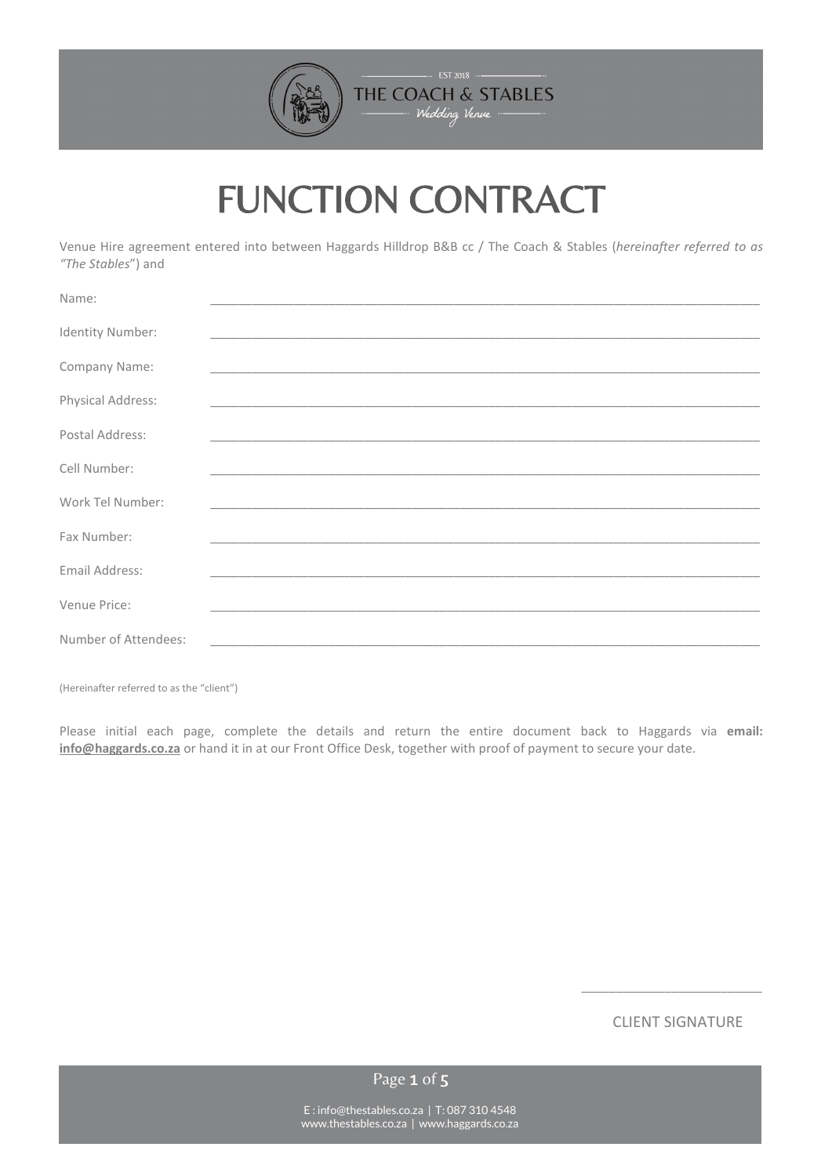

# FUNCTION CONTRACT

Venue Hire agreement entered into between Haggards Hilldrop B&B cc / The Coach & Stables (*hereinafter referred to as "The Stables*") and

| Name:                |                                                                                                                       |  |  |  |  |
|----------------------|-----------------------------------------------------------------------------------------------------------------------|--|--|--|--|
|                      |                                                                                                                       |  |  |  |  |
| Identity Number:     |                                                                                                                       |  |  |  |  |
| Company Name:        | <u> 1989 - Johann John Stoff, deutscher Stoffen und der Stoffen und der Stoffen und der Stoffen und der Stoffen u</u> |  |  |  |  |
| Physical Address:    |                                                                                                                       |  |  |  |  |
|                      |                                                                                                                       |  |  |  |  |
| Postal Address:      |                                                                                                                       |  |  |  |  |
|                      |                                                                                                                       |  |  |  |  |
| Cell Number:         |                                                                                                                       |  |  |  |  |
| Work Tel Number:     |                                                                                                                       |  |  |  |  |
|                      |                                                                                                                       |  |  |  |  |
| Fax Number:          |                                                                                                                       |  |  |  |  |
| Email Address:       |                                                                                                                       |  |  |  |  |
|                      |                                                                                                                       |  |  |  |  |
| Venue Price:         |                                                                                                                       |  |  |  |  |
| Number of Attendees: |                                                                                                                       |  |  |  |  |
|                      |                                                                                                                       |  |  |  |  |

(Hereinafter referred to as the "client")

Please initial each page, complete the details and return the entire document back to Haggards via **email: [info@haggards.co.za](mailto:info@haggards.co.za)** or hand it in at our Front Office Desk, together with proof of payment to secure your date.

CLIENT SIGNATURE

\_\_\_\_\_\_\_\_\_\_\_\_\_\_\_\_\_\_\_\_\_\_\_\_\_\_

Page 1 of 5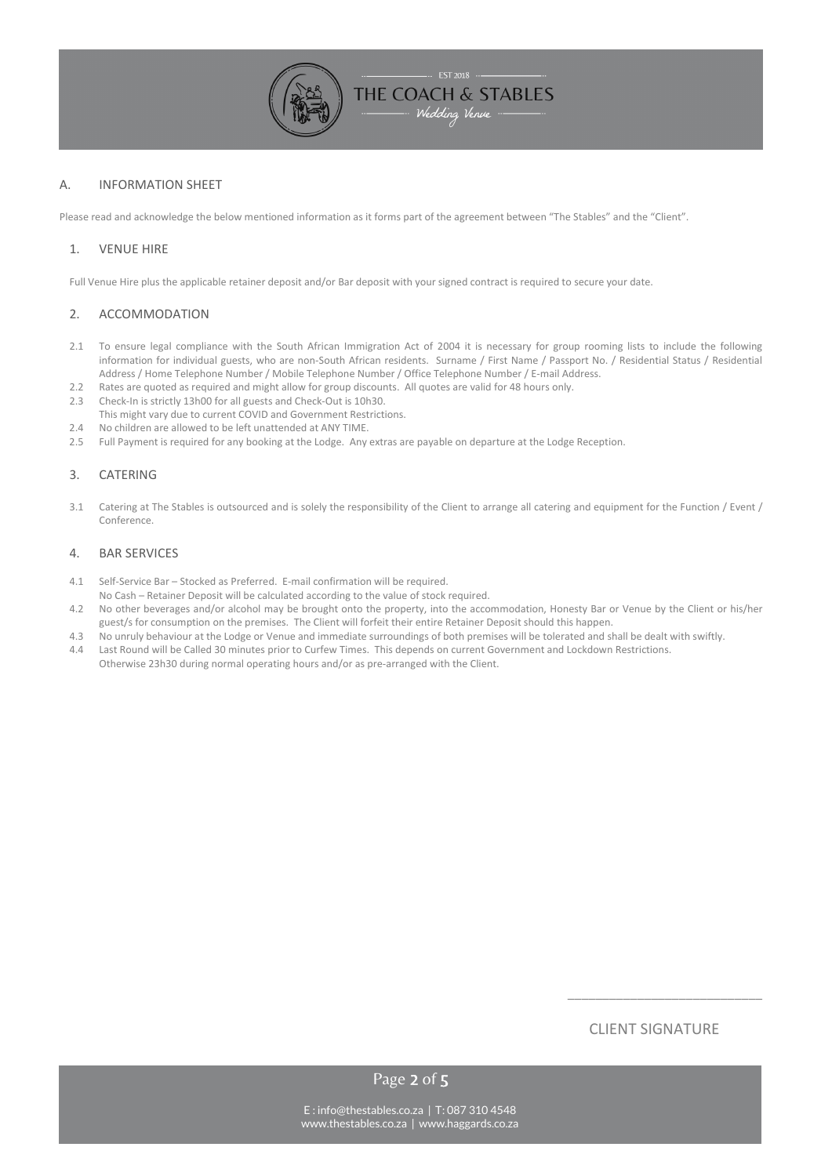

## A. INFORMATION SHEET

Please read and acknowledge the below mentioned information as it forms part of the agreement between "The Stables" and the "Client".

## 1. VENUE HIRE

Full Venue Hire plus the applicable retainer deposit and/or Bar deposit with your signed contract is required to secure your date.

### 2. ACCOMMODATION

- 2.1 To ensure legal compliance with the South African Immigration Act of 2004 it is necessary for group rooming lists to include the following information for individual guests, who are non-South African residents. Surname / First Name / Passport No. / Residential Status / Residential Address / Home Telephone Number / Mobile Telephone Number / Office Telephone Number / E-mail Address.
- 2.2 Rates are quoted as required and might allow for group discounts. All quotes are valid for 48 hours only.
- 2.3 Check-In is strictly 13h00 for all guests and Check-Out is 10h30.
- This might vary due to current COVID and Government Restrictions.
- 2.4 No children are allowed to be left unattended at ANY TIME.
- 2.5 Full Payment is required for any booking at the Lodge. Any extras are payable on departure at the Lodge Reception.

### 3. CATERING

3.1 Catering at The Stables is outsourced and is solely the responsibility of the Client to arrange all catering and equipment for the Function / Event / Conference.

#### 4. BAR SERVICES

- 4.1 Self-Service Bar Stocked as Preferred. E-mail confirmation will be required.
- No Cash Retainer Deposit will be calculated according to the value of stock required.
- 4.2 No other beverages and/or alcohol may be brought onto the property, into the accommodation, Honesty Bar or Venue by the Client or his/her guest/s for consumption on the premises. The Client will forfeit their entire Retainer Deposit should this happen.
- 4.3 No unruly behaviour at the Lodge or Venue and immediate surroundings of both premises will be tolerated and shall be dealt with swiftly.
- 4.4 Last Round will be Called 30 minutes prior to Curfew Times. This depends on current Government and Lockdown Restrictions. Otherwise 23h30 during normal operating hours and/or as pre-arranged with the Client.

# CLIENT SIGNATURE

\_\_\_\_\_\_\_\_\_\_\_\_\_\_\_\_\_\_\_\_\_\_\_\_\_\_\_\_

Page 2 of 5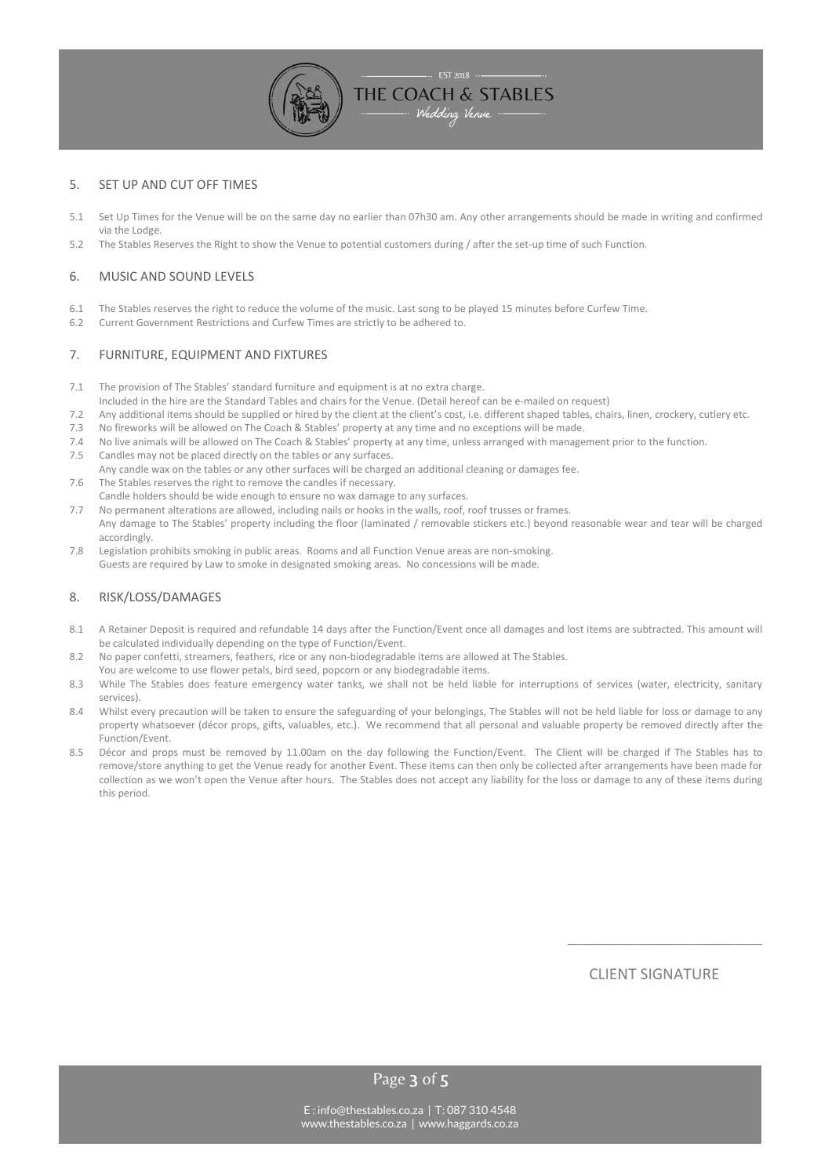

### 5. SET UP AND CUT OFF TIMES

- 5.1 Set Up Times for the Venue will be on the same day no earlier than 07h30 am. Any other arrangements should be made in writing and confirmed via the Lodge.
- 5.2 The Stables Reserves the Right to show the Venue to potential customers during / after the set-up time of such Function.

#### 6. MUSIC AND SOUND LEVELS

- 6.1 The Stables reserves the right to reduce the volume of the music. Last song to be played 15 minutes before Curfew Time.
- 6.2 Current Government Restrictions and Curfew Times are strictly to be adhered to.

### 7. FURNITURE, EQUIPMENT AND FIXTURES

- 7.1 The provision of The Stables' standard furniture and equipment is at no extra charge.
- Included in the hire are the Standard Tables and chairs for the Venue. (Detail hereof can be e-mailed on request)
- 7.2 Any additional items should be supplied or hired by the client at the client's cost, i.e. different shaped tables, chairs, linen, crockery, cutlery etc.<br>7.3 No fireworks will be allowed on The Coach & Stables' property
- 7.3 No fireworks will be allowed on The Coach & Stables' property at any time and no exceptions will be made.
- 7.4 No live animals will be allowed on The Coach & Stables' property at any time, unless arranged with management prior to the function.
- 7.5 Candles may not be placed directly on the tables or any surfaces.
- Any candle wax on the tables or any other surfaces will be charged an additional cleaning or damages fee.
- 7.6 The Stables reserves the right to remove the candles if necessary. Candle holders should be wide enough to ensure no wax damage to any surfaces.
- 7.7 No permanent alterations are allowed, including nails or hooks in the walls, roof, roof trusses or frames.
- Any damage to The Stables' property including the floor (laminated / removable stickers etc.) beyond reasonable wear and tear will be charged accordingly.
- 7.8 Legislation prohibits smoking in public areas. Rooms and all Function Venue areas are non-smoking. Guests are required by Law to smoke in designated smoking areas. No concessions will be made.

### 8. RISK/LOSS/DAMAGES

- 8.1 A Retainer Deposit is required and refundable 14 days after the Function/Event once all damages and lost items are subtracted. This amount will be calculated individually depending on the type of Function/Event.
- 8.2 No paper confetti, streamers, feathers, rice or any non-biodegradable items are allowed at The Stables.
- You are welcome to use flower petals, bird seed, popcorn or any biodegradable items.
- 8.3 While The Stables does feature emergency water tanks, we shall not be held liable for interruptions of services (water, electricity, sanitary services).
- 8.4 Whilst every precaution will be taken to ensure the safeguarding of your belongings, The Stables will not be held liable for loss or damage to any property whatsoever (décor props, gifts, valuables, etc.). We recommend that all personal and valuable property be removed directly after the Function/Event.
- 8.5 Décor and props must be removed by 11.00am on the day following the Function/Event. The Client will be charged if The Stables has to remove/store anything to get the Venue ready for another Event. These items can then only be collected after arrangements have been made for collection as we won't open the Venue after hours. The Stables does not accept any liability for the loss or damage to any of these items during this neriod

CLIENT SIGNATURE

\_\_\_\_\_\_\_\_\_\_\_\_\_\_\_\_\_\_\_\_\_\_\_\_\_\_\_\_

Page 3 of 5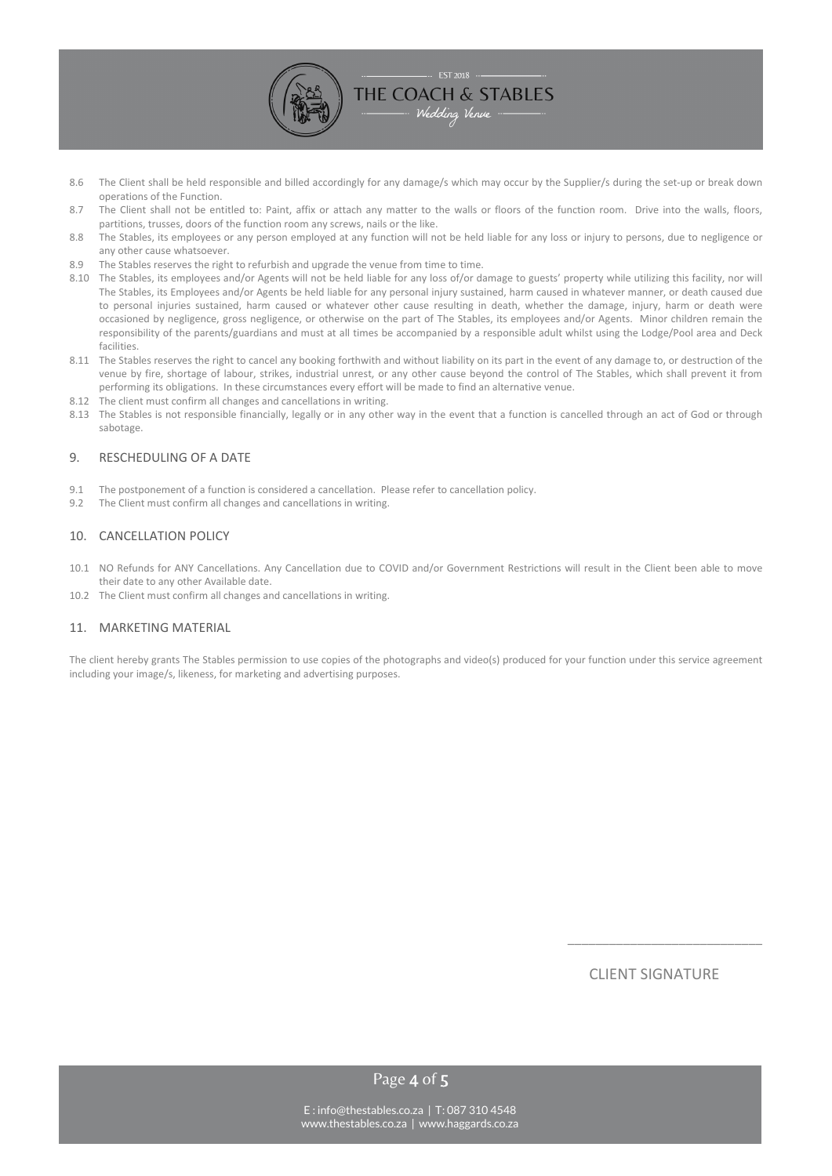

- 8.6 The Client shall be held responsible and billed accordingly for any damage/s which may occur by the Supplier/s during the set-up or break down operations of the Function.
- 8.7 The Client shall not be entitled to: Paint, affix or attach any matter to the walls or floors of the function room. Drive into the walls, floors, partitions, trusses, doors of the function room any screws, nails or the like.
- 8.8 The Stables, its employees or any person employed at any function will not be held liable for any loss or injury to persons, due to negligence or any other cause whatsoever.
- 8.9 The Stables reserves the right to refurbish and upgrade the venue from time to time.
- 8.10 The Stables, its employees and/or Agents will not be held liable for any loss of/or damage to guests' property while utilizing this facility, nor will The Stables, its Employees and/or Agents be held liable for any personal injury sustained, harm caused in whatever manner, or death caused due to personal injuries sustained, harm caused or whatever other cause resulting in death, whether the damage, injury, harm or death were occasioned by negligence, gross negligence, or otherwise on the part of The Stables, its employees and/or Agents. Minor children remain the responsibility of the parents/guardians and must at all times be accompanied by a responsible adult whilst using the Lodge/Pool area and Deck facilities.
- 8.11 The Stables reserves the right to cancel any booking forthwith and without liability on its part in the event of any damage to, or destruction of the venue by fire, shortage of labour, strikes, industrial unrest, or any other cause beyond the control of The Stables, which shall prevent it from performing its obligations. In these circumstances every effort will be made to find an alternative venue.
- 8.12 The client must confirm all changes and cancellations in writing.
- 8.13 The Stables is not responsible financially, legally or in any other way in the event that a function is cancelled through an act of God or through sabotage.

### 9. RESCHEDULING OF A DATE

- 9.1 The postponement of a function is considered a cancellation. Please refer to cancellation policy.
- 9.2 The Client must confirm all changes and cancellations in writing.

#### 10. CANCELLATION POLICY

- 10.1 NO Refunds for ANY Cancellations. Any Cancellation due to COVID and/or Government Restrictions will result in the Client been able to move their date to any other Available date.
- 10.2 The Client must confirm all changes and cancellations in writing.

#### 11. MARKETING MATERIAL

The client hereby grants The Stables permission to use copies of the photographs and video(s) produced for your function under this service agreement including your image/s, likeness, for marketing and advertising purposes.

CLIENT SIGNATURE

\_\_\_\_\_\_\_\_\_\_\_\_\_\_\_\_\_\_\_\_\_\_\_\_\_\_\_\_

Page 4 of 5